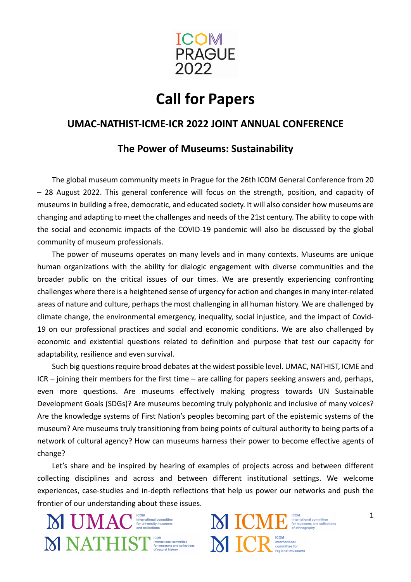

# **Call for Papers**

# **UMAC-NATHIST-ICME-ICR 2022 JOINT ANNUAL CONFERENCE**

# **The Power of Museums: Sustainability**

The global museum community meets in Prague for the 26th ICOM General Conference from 20 – 28 August 2022. This general conference will focus on the strength, position, and capacity of museums in building a free, democratic, and educated society. It will also consider how museums are changing and adapting to meet the challenges and needs of the 21st century. The ability to cope with the social and economic impacts of the COVID-19 pandemic will also be discussed by the global community of museum professionals.

The power of museums operates on many levels and in many contexts. Museums are unique human organizations with the ability for dialogic engagement with diverse communities and the broader public on the critical issues of our times. We are presently experiencing confronting challenges where there is a heightened sense of urgency for action and changes in many inter-related areas of nature and culture, perhaps the most challenging in all human history. We are challenged by climate change, the environmental emergency, inequality, social injustice, and the impact of Covid-19 on our professional practices and social and economic conditions. We are also challenged by economic and existential questions related to definition and purpose that test our capacity for adaptability, resilience and even survival.

Such big questions require broad debates at the widest possible level. UMAC, NATHIST, ICME and ICR – joining their members for the first time – are calling for papers seeking answers and, perhaps, even more questions. Are museums effectively making progress towards UN Sustainable Development Goals (SDGs)? Are museums becoming truly polyphonic and inclusive of many voices? Are the knowledge systems of First Nation's peoples becoming part of the epistemic systems of the museum? Are museums truly transitioning from being points of cultural authority to being parts of a network of cultural agency? How can museums harness their power to become effective agents of change?

Let's share and be inspired by hearing of examples of projects across and between different collecting disciplines and across and between different institutional settings. We welcome experiences, case-studies and in-depth reflections that help us power our networks and push the frontier of our understanding about these issues.

M UMAC **International committee** M NATHIST STARRENT COME CONDEMNATION CONDEMNATION OF CONDEMNITION OF CONDEMNITION OF THE OFFICE OF CONDEMNITION OF THE OFFICE OF THE OFFICE OF THE OFFICE OF THE OFFICE OF THE OFFICE OF THE OFFICE OF THE OFFICE OF THE OFFIC